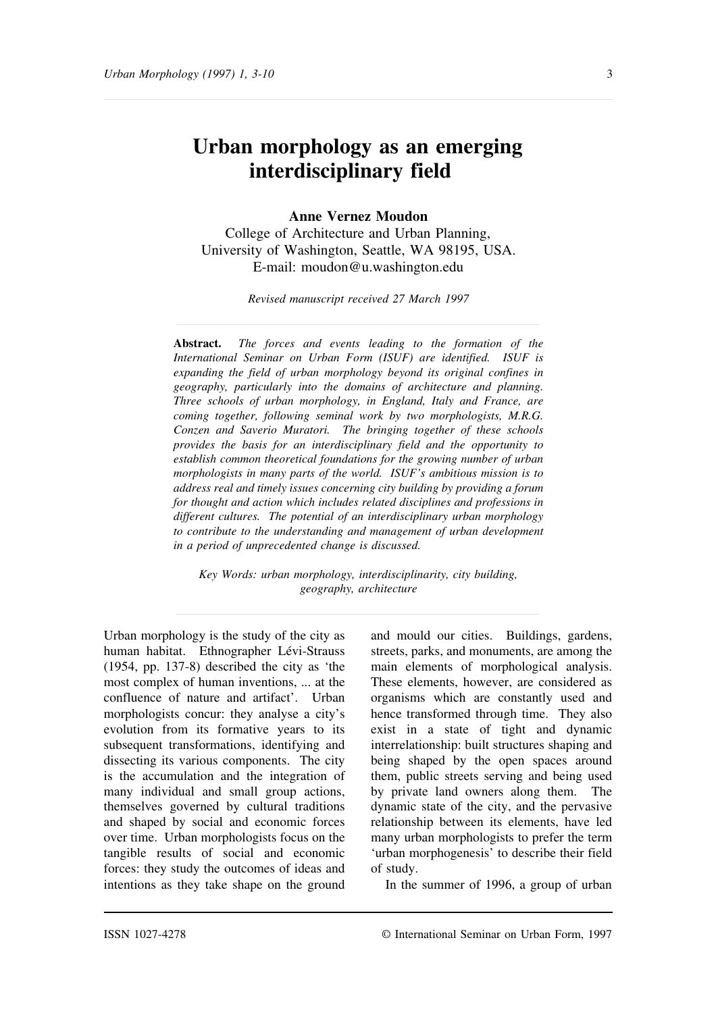# **Urban morphology as an emerging interdisciplinary field**

# **Anne Vernez Moudon**

College of Architecture and Urban Planning, University of Washington, Seattle, WA 98195, USA. E-mail: moudon@u.washington.edu

*Revised manuscript received 27 March 1997*

**Abstract.** *The forces and events leading to the formation of the International Seminar on Urban Form (ISUF) are identified. ISUF is expanding the field of urban morphology beyond its original confines in geography, particularly into the domains of architecture and planning. Three schools of urban morphology, in England, Italy and France, are coming together, following seminal work by two morphologists, M.R.G. Conzen and Saverio Muratori. The bringing together of these schools provides the basis for an interdisciplinary field and the opportunity to establish common theoretical foundations for the growing number of urban morphologists in many parts of the world. ISUF's ambitious mission is to address real and timely issues concerning city building by providing a forum for thought and action which includes related disciplines and professions in different cultures. The potential of an interdisciplinary urban morphology to contribute to the understanding and management of urban development in a period of unprecedented change is discussed.*

*Key Words: urban morphology, interdisciplinarity, city building, geography, architecture*

Urban morphology is the study of the city as human habitat. Ethnographer Lévi-Strauss (1954, pp. 137-8) described the city as 'the most complex of human inventions, ... at the confluence of nature and artifact'. Urban morphologists concur: they analyse a city's evolution from its formative years to its subsequent transformations, identifying and dissecting its various components. The city is the accumulation and the integration of many individual and small group actions, themselves governed by cultural traditions and shaped by social and economic forces over time. Urban morphologists focus on the tangible results of social and economic forces: they study the outcomes of ideas and intentions as they take shape on the ground

and mould our cities. Buildings, gardens, streets, parks, and monuments, are among the main elements of morphological analysis. These elements, however, are considered as organisms which are constantly used and hence transformed through time. They also exist in a state of tight and dynamic interrelationship: built structures shaping and being shaped by the open spaces around them, public streets serving and being used by private land owners along them. The dynamic state of the city, and the pervasive relationship between its elements, have led many urban morphologists to prefer the term 'urban morphogenesis' to describe their field of study.

In the summer of 1996, a group of urban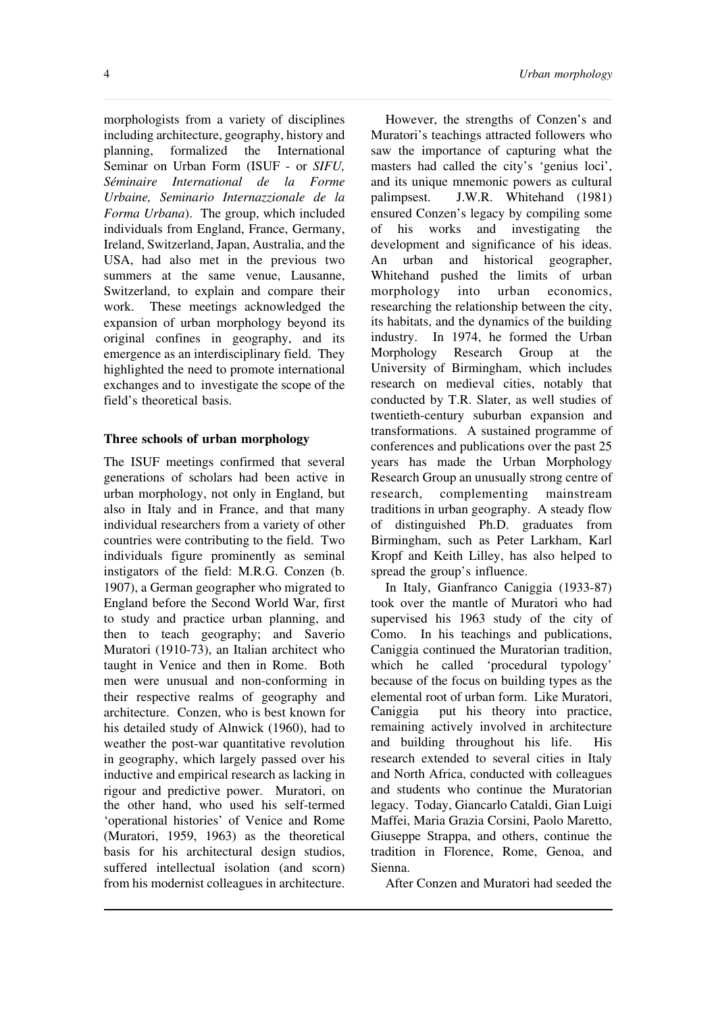morphologists from a variety of disciplines including architecture, geography, history and planning, formalized the International Seminar on Urban Form (ISUF - or *SIFU, Séminaire International de la Forme Urbaine, Seminario Internazzionale de la Forma Urbana*). The group, which included individuals from England, France, Germany, Ireland, Switzerland, Japan, Australia, and the USA, had also met in the previous two summers at the same venue, Lausanne, Switzerland, to explain and compare their work. These meetings acknowledged the expansion of urban morphology beyond its original confines in geography, and its emergence as an interdisciplinary field. They highlighted the need to promote international exchanges and to investigate the scope of the field's theoretical basis.

# **Three schools of urban morphology**

The ISUF meetings confirmed that several generations of scholars had been active in urban morphology, not only in England, but also in Italy and in France, and that many individual researchers from a variety of other countries were contributing to the field. Two individuals figure prominently as seminal instigators of the field: M.R.G. Conzen (b. 1907), a German geographer who migrated to England before the Second World War, first to study and practice urban planning, and then to teach geography; and Saverio Muratori (1910-73), an Italian architect who taught in Venice and then in Rome. Both men were unusual and non-conforming in their respective realms of geography and architecture. Conzen, who is best known for his detailed study of Alnwick (1960), had to weather the post-war quantitative revolution in geography, which largely passed over his inductive and empirical research as lacking in rigour and predictive power. Muratori, on the other hand, who used his self-termed 'operational histories' of Venice and Rome (Muratori, 1959, 1963) as the theoretical basis for his architectural design studios, suffered intellectual isolation (and scorn) from his modernist colleagues in architecture.

However, the strengths of Conzen's and Muratori's teachings attracted followers who saw the importance of capturing what the masters had called the city's 'genius loci', and its unique mnemonic powers as cultural palimpsest. J.W.R. Whitehand (1981) ensured Conzen's legacy by compiling some of his works and investigating the development and significance of his ideas.<br>An urban and historical geographer. An urban and historical Whitehand pushed the limits of urban morphology into urban economics, researching the relationship between the city, its habitats, and the dynamics of the building industry. In 1974, he formed the Urban Morphology Research Group at the University of Birmingham, which includes research on medieval cities, notably that conducted by T.R. Slater, as well studies of twentieth-century suburban expansion and transformations. A sustained programme of conferences and publications over the past 25 years has made the Urban Morphology Research Group an unusually strong centre of research, complementing mainstream traditions in urban geography. A steady flow of distinguished Ph.D. graduates from Birmingham, such as Peter Larkham, Karl Kropf and Keith Lilley, has also helped to spread the group's influence.

In Italy, Gianfranco Caniggia (1933-87) took over the mantle of Muratori who had supervised his 1963 study of the city of Como. In his teachings and publications, Caniggia continued the Muratorian tradition, which he called 'procedural typology' because of the focus on building types as the elemental root of urban form. Like Muratori, Caniggia put his theory into practice, remaining actively involved in architecture and building throughout his life. His research extended to several cities in Italy and North Africa, conducted with colleagues and students who continue the Muratorian legacy. Today, Giancarlo Cataldi, Gian Luigi Maffei, Maria Grazia Corsini, Paolo Maretto, Giuseppe Strappa, and others, continue the tradition in Florence, Rome, Genoa, and Sienna.

After Conzen and Muratori had seeded the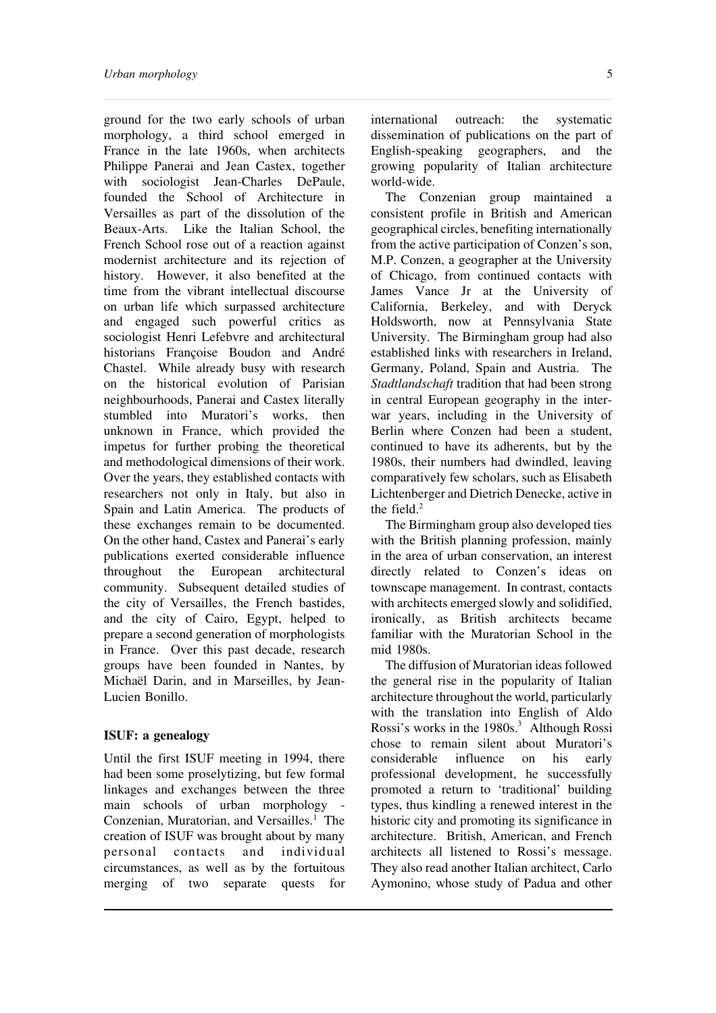ground for the two early schools of urban morphology, a third school emerged in France in the late 1960s, when architects Philippe Panerai and Jean Castex, together with sociologist Jean-Charles DePaule, founded the School of Architecture in Versailles as part of the dissolution of the Beaux-Arts. Like the Italian School, the French School rose out of a reaction against modernist architecture and its rejection of history. However, it also benefited at the time from the vibrant intellectual discourse on urban life which surpassed architecture and engaged such powerful critics as sociologist Henri Lefebvre and architectural historians Françoise Boudon and André Chastel. While already busy with research on the historical evolution of Parisian neighbourhoods, Panerai and Castex literally stumbled into Muratori's works, then unknown in France, which provided the impetus for further probing the theoretical and methodological dimensions of their work. Over the years, they established contacts with researchers not only in Italy, but also in Spain and Latin America. The products of these exchanges remain to be documented. On the other hand, Castex and Panerai's early publications exerted considerable influence throughout the European architectural community. Subsequent detailed studies of the city of Versailles, the French bastides, and the city of Cairo, Egypt, helped to prepare a second generation of morphologists in France. Over this past decade, research groups have been founded in Nantes, by Michaël Darin, and in Marseilles, by Jean-Lucien Bonillo.

#### **ISUF: a genealogy**

Until the first ISUF meeting in 1994, there had been some proselytizing, but few formal linkages and exchanges between the three main schools of urban morphology - Conzenian, Muratorian, and Versailles.<sup>1</sup> The creation of ISUF was brought about by many<br>personal contacts and individual personal contacts and circumstances, as well as by the fortuitous merging of two separate quests for

international outreach: the systematic dissemination of publications on the part of English-speaking geographers, and the growing popularity of Italian architecture world-wide.

The Conzenian group maintained a consistent profile in British and American geographical circles, benefiting internationally from the active participation of Conzen's son, M.P. Conzen, a geographer at the University of Chicago, from continued contacts with James Vance Jr at the University of California, Berkeley, and with Deryck Holdsworth, now at Pennsylvania State University. The Birmingham group had also established links with researchers in Ireland, Germany, Poland, Spain and Austria. The *Stadtlandschaft* tradition that had been strong in central European geography in the interwar years, including in the University of Berlin where Conzen had been a student, continued to have its adherents, but by the 1980s, their numbers had dwindled, leaving comparatively few scholars, such as Elisabeth Lichtenberger and Dietrich Denecke, active in the field.<sup>2</sup>

The Birmingham group also developed ties with the British planning profession, mainly in the area of urban conservation, an interest directly related to Conzen's ideas on townscape management. In contrast, contacts with architects emerged slowly and solidified, ironically, as British architects became familiar with the Muratorian School in the mid 1980s.

The diffusion of Muratorian ideas followed the general rise in the popularity of Italian architecture throughout the world, particularly with the translation into English of Aldo Rossi's works in the 1980s.<sup>3</sup> Although Rossi chose to remain silent about Muratori's<br>considerable influence on his early considerable professional development, he successfully promoted a return to 'traditional' building types, thus kindling a renewed interest in the historic city and promoting its significance in architecture. British, American, and French architects all listened to Rossi's message. They also read another Italian architect, Carlo Aymonino, whose study of Padua and other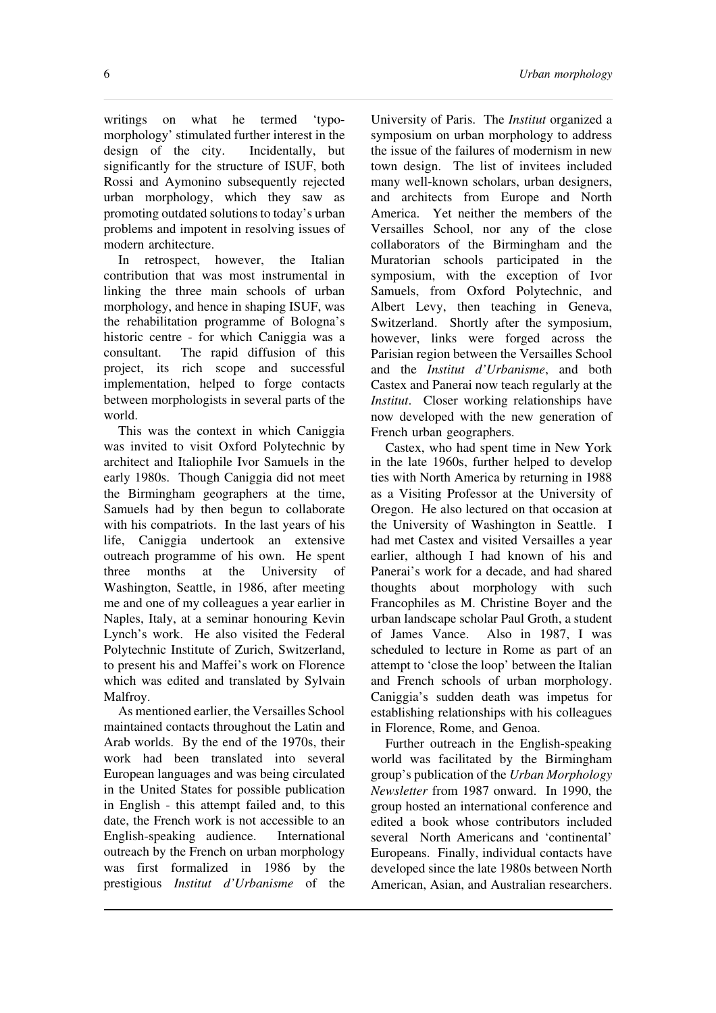writings on what he termed 'typomorphology' stimulated further interest in the design of the city. Incidentally, but significantly for the structure of ISUF, both Rossi and Aymonino subsequently rejected urban morphology, which they saw as promoting outdated solutions to today's urban problems and impotent in resolving issues of modern architecture.

In retrospect, however, the Italian contribution that was most instrumental in linking the three main schools of urban morphology, and hence in shaping ISUF, was the rehabilitation programme of Bologna's historic centre - for which Caniggia was a consultant. The rapid diffusion of this project, its rich scope and successful implementation, helped to forge contacts between morphologists in several parts of the world.

This was the context in which Caniggia was invited to visit Oxford Polytechnic by architect and Italiophile Ivor Samuels in the early 1980s. Though Caniggia did not meet the Birmingham geographers at the time, Samuels had by then begun to collaborate with his compatriots. In the last years of his life, Caniggia undertook an extensive outreach programme of his own. He spent three months at the University of Washington, Seattle, in 1986, after meeting me and one of my colleagues a year earlier in Naples, Italy, at a seminar honouring Kevin Lynch's work. He also visited the Federal Polytechnic Institute of Zurich, Switzerland, to present his and Maffei's work on Florence which was edited and translated by Sylvain Malfroy.

As mentioned earlier, the Versailles School maintained contacts throughout the Latin and Arab worlds. By the end of the 1970s, their work had been translated into several European languages and was being circulated in the United States for possible publication in English - this attempt failed and, to this date, the French work is not accessible to an English-speaking audience. International outreach by the French on urban morphology was first formalized in 1986 by the prestigious *Institut d'Urbanisme* of the

University of Paris. The *Institut* organized a symposium on urban morphology to address the issue of the failures of modernism in new town design. The list of invitees included many well-known scholars, urban designers, and architects from Europe and North America. Yet neither the members of the Versailles School, nor any of the close collaborators of the Birmingham and the Muratorian schools participated in the symposium, with the exception of Ivor Samuels, from Oxford Polytechnic, and Albert Levy, then teaching in Geneva, Switzerland. Shortly after the symposium, however, links were forged across the Parisian region between the Versailles School and the *Institut d'Urbanisme*, and both Castex and Panerai now teach regularly at the *Institut*. Closer working relationships have now developed with the new generation of French urban geographers.

Castex, who had spent time in New York in the late 1960s, further helped to develop ties with North America by returning in 1988 as a Visiting Professor at the University of Oregon. He also lectured on that occasion at the University of Washington in Seattle. I had met Castex and visited Versailles a year earlier, although I had known of his and Panerai's work for a decade, and had shared thoughts about morphology with such Francophiles as M. Christine Boyer and the urban landscape scholar Paul Groth, a student of James Vance. Also in 1987, I was scheduled to lecture in Rome as part of an attempt to 'close the loop' between the Italian and French schools of urban morphology. Caniggia's sudden death was impetus for establishing relationships with his colleagues in Florence, Rome, and Genoa.

Further outreach in the English-speaking world was facilitated by the Birmingham group's publication of the *Urban Morphology Newsletter* from 1987 onward. In 1990, the group hosted an international conference and edited a book whose contributors included several North Americans and 'continental' Europeans. Finally, individual contacts have developed since the late 1980s between North American, Asian, and Australian researchers.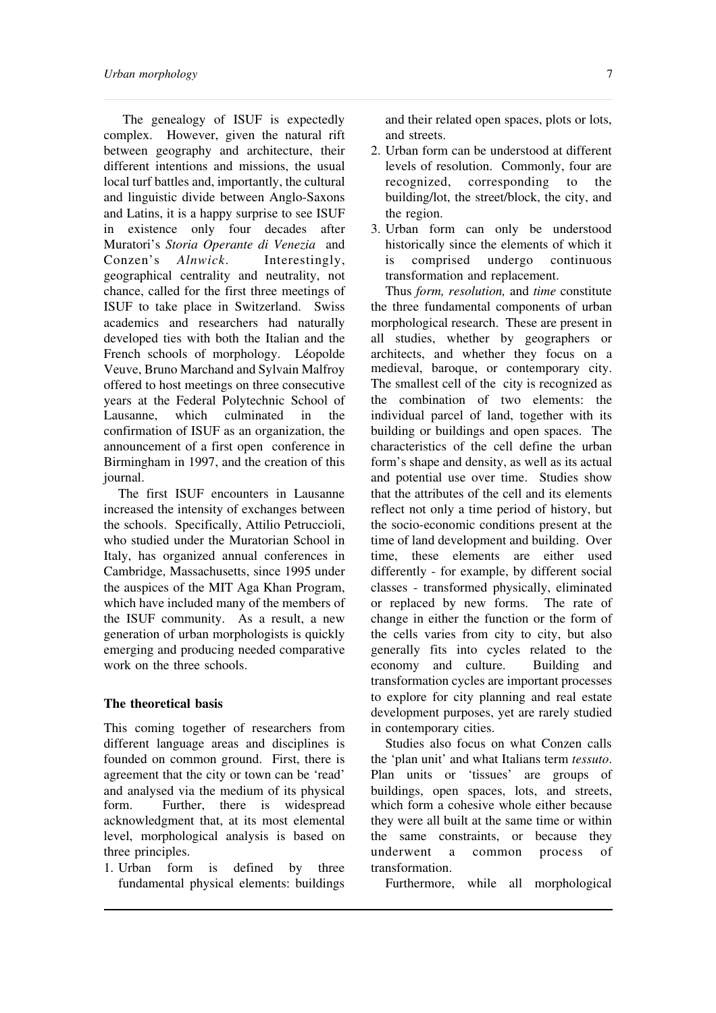The genealogy of ISUF is expectedly complex. However, given the natural rift between geography and architecture, their different intentions and missions, the usual local turf battles and, importantly, the cultural and linguistic divide between Anglo-Saxons and Latins, it is a happy surprise to see ISUF in existence only four decades after Muratori's *Storia Operante di Venezia* and Conzen's *Alnwick*. Interestingly, geographical centrality and neutrality, not chance, called for the first three meetings of ISUF to take place in Switzerland. Swiss academics and researchers had naturally developed ties with both the Italian and the French schools of morphology. Léopolde Veuve, Bruno Marchand and Sylvain Malfroy offered to host meetings on three consecutive years at the Federal Polytechnic School of Lausanne, which culminated in the confirmation of ISUF as an organization, the announcement of a first open conference in Birmingham in 1997, and the creation of this journal.

The first ISUF encounters in Lausanne increased the intensity of exchanges between the schools. Specifically, Attilio Petruccioli, who studied under the Muratorian School in Italy, has organized annual conferences in Cambridge, Massachusetts, since 1995 under the auspices of the MIT Aga Khan Program, which have included many of the members of the ISUF community. As a result, a new generation of urban morphologists is quickly emerging and producing needed comparative work on the three schools.

## **The theoretical basis**

This coming together of researchers from different language areas and disciplines is founded on common ground. First, there is agreement that the city or town can be 'read' and analysed via the medium of its physical form. Further, there is widespread acknowledgment that, at its most elemental level, morphological analysis is based on three principles.

1. Urban form is defined by three fundamental physical elements: buildings

and their related open spaces, plots or lots, and streets.

- 2. Urban form can be understood at different levels of resolution. Commonly, four are recognized, corresponding to the building/lot, the street/block, the city, and the region.
- 3. Urban form can only be understood historically since the elements of which it is comprised undergo continuous transformation and replacement.

Thus *form, resolution,* and *time* constitute the three fundamental components of urban morphological research. These are present in all studies, whether by geographers or architects, and whether they focus on a medieval, baroque, or contemporary city. The smallest cell of the city is recognized as the combination of two elements: the individual parcel of land, together with its building or buildings and open spaces. The characteristics of the cell define the urban form's shape and density, as well as its actual and potential use over time. Studies show that the attributes of the cell and its elements reflect not only a time period of history, but the socio-economic conditions present at the time of land development and building. Over time, these elements are either used differently - for example, by different social classes - transformed physically, eliminated or replaced by new forms. The rate of change in either the function or the form of the cells varies from city to city, but also generally fits into cycles related to the economy and culture. Building and transformation cycles are important processes to explore for city planning and real estate development purposes, yet are rarely studied in contemporary cities.

Studies also focus on what Conzen calls the 'plan unit' and what Italians term *tessuto*. Plan units or 'tissues' are groups of buildings, open spaces, lots, and streets, which form a cohesive whole either because they were all built at the same time or within the same constraints, or because they underwent a common process of transformation.

Furthermore, while all morphological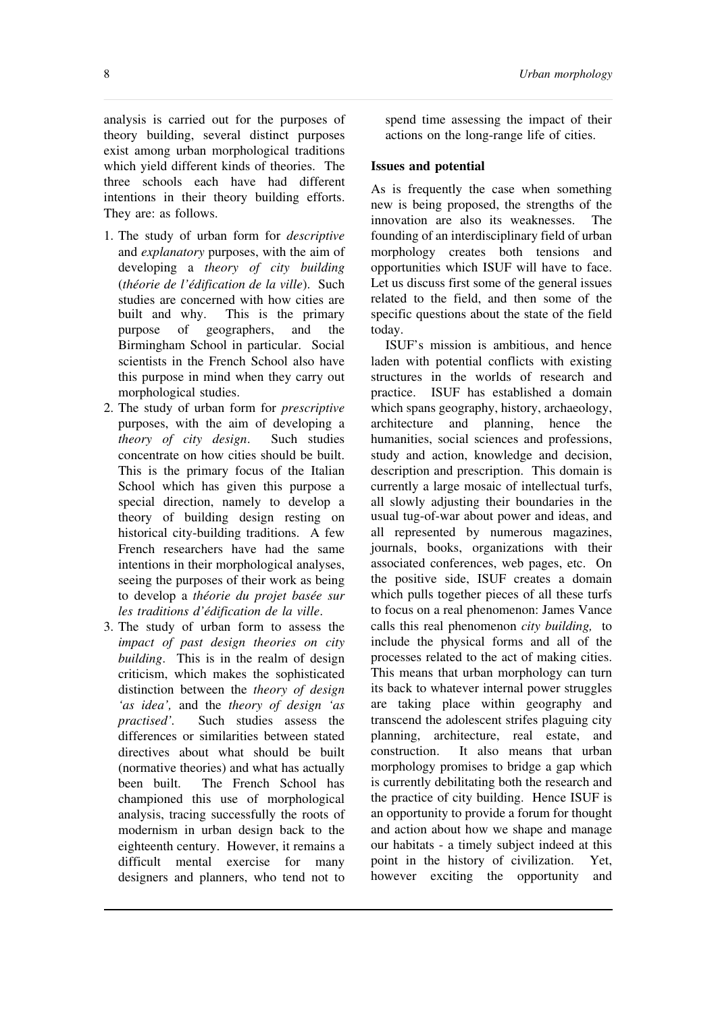analysis is carried out for the purposes of theory building, several distinct purposes exist among urban morphological traditions which yield different kinds of theories. The three schools each have had different intentions in their theory building efforts. They are: as follows.

- 1. The study of urban form for *descriptive* and *explanatory* purposes, with the aim of developing a *theory of city building* (*théorie de l'édification de la ville*). Such studies are concerned with how cities are built and why. This is the primary purpose of geographers, and the Birmingham School in particular. Social scientists in the French School also have this purpose in mind when they carry out morphological studies.
- 2. The study of urban form for *prescriptive* purposes, with the aim of developing a *theory of city design*. Such studies concentrate on how cities should be built. This is the primary focus of the Italian School which has given this purpose a special direction, namely to develop a theory of building design resting on historical city-building traditions. A few French researchers have had the same intentions in their morphological analyses, seeing the purposes of their work as being to develop a *théorie du projet basée sur les traditions d'édification de la ville*.
- 3. The study of urban form to assess the *impact of past design theories on city building*. This is in the realm of design criticism, which makes the sophisticated distinction between the *theory of design 'as idea',* and the *theory of design 'as practised'.* Such studies assess the differences or similarities between stated directives about what should be built (normative theories) and what has actually been built. The French School has championed this use of morphological analysis, tracing successfully the roots of modernism in urban design back to the eighteenth century. However, it remains a difficult mental exercise for many designers and planners, who tend not to

spend time assessing the impact of their actions on the long-range life of cities.

## **Issues and potential**

As is frequently the case when something new is being proposed, the strengths of the innovation are also its weaknesses. The founding of an interdisciplinary field of urban morphology creates both tensions and opportunities which ISUF will have to face. Let us discuss first some of the general issues related to the field, and then some of the specific questions about the state of the field today.

ISUF's mission is ambitious, and hence laden with potential conflicts with existing structures in the worlds of research and practice. ISUF has established a domain which spans geography, history, archaeology, architecture and planning, hence the humanities, social sciences and professions, study and action, knowledge and decision, description and prescription. This domain is currently a large mosaic of intellectual turfs, all slowly adjusting their boundaries in the usual tug-of-war about power and ideas, and all represented by numerous magazines, journals, books, organizations with their associated conferences, web pages, etc. On the positive side, ISUF creates a domain which pulls together pieces of all these turfs to focus on a real phenomenon: James Vance calls this real phenomenon *city building,* to include the physical forms and all of the processes related to the act of making cities. This means that urban morphology can turn its back to whatever internal power struggles are taking place within geography and transcend the adolescent strifes plaguing city planning, architecture, real estate, and construction. It also means that urban morphology promises to bridge a gap which is currently debilitating both the research and the practice of city building. Hence ISUF is an opportunity to provide a forum for thought and action about how we shape and manage our habitats - a timely subject indeed at this point in the history of civilization. Yet, however exciting the opportunity and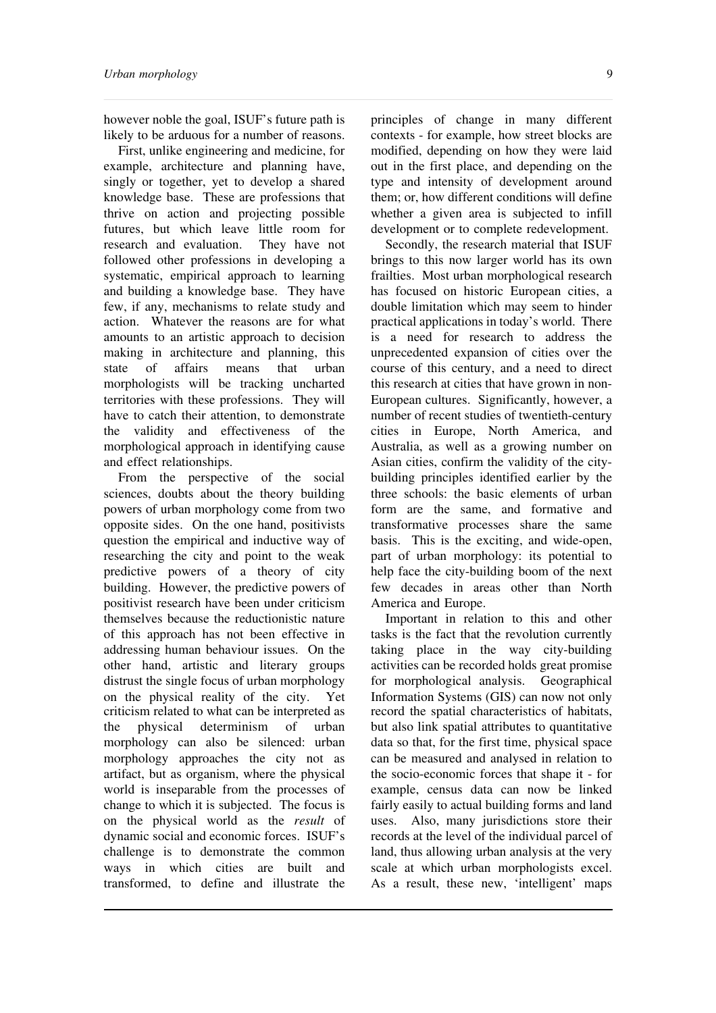however noble the goal, ISUF's future path is likely to be arduous for a number of reasons.

First, unlike engineering and medicine, for example, architecture and planning have, singly or together, yet to develop a shared knowledge base. These are professions that thrive on action and projecting possible futures, but which leave little room for research and evaluation. They have not followed other professions in developing a systematic, empirical approach to learning and building a knowledge base. They have few, if any, mechanisms to relate study and action. Whatever the reasons are for what amounts to an artistic approach to decision making in architecture and planning, this state of affairs means that urban morphologists will be tracking uncharted territories with these professions. They will have to catch their attention, to demonstrate the validity and effectiveness of the morphological approach in identifying cause and effect relationships.

From the perspective of the social sciences, doubts about the theory building powers of urban morphology come from two opposite sides. On the one hand, positivists question the empirical and inductive way of researching the city and point to the weak predictive powers of a theory of city building. However, the predictive powers of positivist research have been under criticism themselves because the reductionistic nature of this approach has not been effective in addressing human behaviour issues. On the other hand, artistic and literary groups distrust the single focus of urban morphology on the physical reality of the city. Yet criticism related to what can be interpreted as the physical determinism of urban morphology can also be silenced: urban morphology approaches the city not as artifact, but as organism, where the physical world is inseparable from the processes of change to which it is subjected. The focus is on the physical world as the *result* of dynamic social and economic forces. ISUF's challenge is to demonstrate the common ways in which cities are built and transformed, to define and illustrate the

principles of change in many different contexts - for example, how street blocks are modified, depending on how they were laid out in the first place, and depending on the type and intensity of development around them; or, how different conditions will define whether a given area is subjected to infill development or to complete redevelopment.

Secondly, the research material that ISUF brings to this now larger world has its own frailties. Most urban morphological research has focused on historic European cities, a double limitation which may seem to hinder practical applications in today's world. There is a need for research to address the unprecedented expansion of cities over the course of this century, and a need to direct this research at cities that have grown in non-European cultures. Significantly, however, a number of recent studies of twentieth-century cities in Europe, North America, and Australia, as well as a growing number on Asian cities, confirm the validity of the citybuilding principles identified earlier by the three schools: the basic elements of urban form are the same, and formative and transformative processes share the same basis. This is the exciting, and wide-open, part of urban morphology: its potential to help face the city-building boom of the next few decades in areas other than North America and Europe.

Important in relation to this and other tasks is the fact that the revolution currently taking place in the way city-building activities can be recorded holds great promise for morphological analysis. Geographical Information Systems (GIS) can now not only record the spatial characteristics of habitats, but also link spatial attributes to quantitative data so that, for the first time, physical space can be measured and analysed in relation to the socio-economic forces that shape it - for example, census data can now be linked fairly easily to actual building forms and land uses. Also, many jurisdictions store their records at the level of the individual parcel of land, thus allowing urban analysis at the very scale at which urban morphologists excel. As a result, these new, 'intelligent' maps